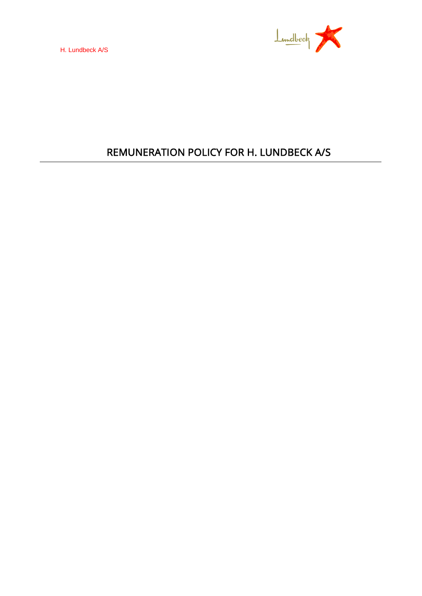

# REMUNERATION POLICY FOR H. LUNDBECK A/S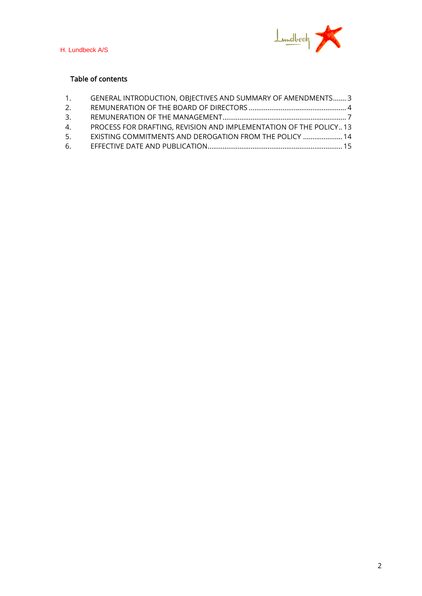

# Table of contents

| 1. | GENERAL INTRODUCTION, OBJECTIVES AND SUMMARY OF AMENDMENTS 3      |  |
|----|-------------------------------------------------------------------|--|
| 2. |                                                                   |  |
| 3. |                                                                   |  |
| 4. | PROCESS FOR DRAFTING, REVISION AND IMPLEMENTATION OF THE POLICY13 |  |
| 5. | <b>EXISTING COMMITMENTS AND DEROGATION FROM THE POLICY  14</b>    |  |
| 6. |                                                                   |  |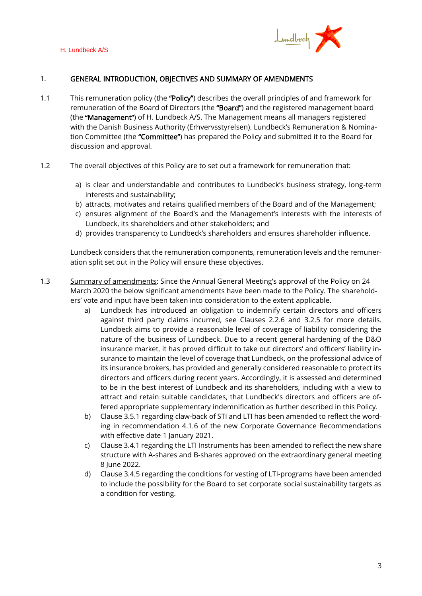

## 1. GENERAL INTRODUCTION, OBJECTIVES AND SUMMARY OF AMENDMENTS

- 1.1 This remuneration policy (the "Policy") describes the overall principles of and framework for remuneration of the Board of Directors (the "Board") and the registered management board (the "Management") of H. Lundbeck A/S. The Management means all managers registered with the Danish Business Authority (Erhvervsstyrelsen). Lundbeck's Remuneration & Nomination Committee (the "Committee") has prepared the Policy and submitted it to the Board for discussion and approval.
- 1.2 The overall objectives of this Policy are to set out a framework for remuneration that:
	- a) is clear and understandable and contributes to Lundbeck's business strategy, long-term interests and sustainability;
	- b) attracts, motivates and retains qualified members of the Board and of the Management;
	- c) ensures alignment of the Board's and the Management's interests with the interests of Lundbeck, its shareholders and other stakeholders; and
	- d) provides transparency to Lundbeck's shareholders and ensures shareholder influence.

Lundbeck considers that the remuneration components, remuneration levels and the remuneration split set out in the Policy will ensure these objectives.

- 1.3 Summary of amendments: Since the Annual General Meeting's approval of the Policy on 24 March 2020 the below significant amendments have been made to the Policy. The shareholders' vote and input have been taken into consideration to the extent applicable.
	- a) Lundbeck has introduced an obligation to indemnify certain directors and officers against third party claims incurred, see Clauses [2.2.6](#page-5-0) and [3.2.5](#page-8-0) for more details. Lundbeck aims to provide a reasonable level of coverage of liability considering the nature of the business of Lundbeck. Due to a recent general hardening of the D&O insurance market, it has proved difficult to take out directors' and officers' liability insurance to maintain the level of coverage that Lundbeck, on the professional advice of its insurance brokers, has provided and generally considered reasonable to protect its directors and officers during recent years. Accordingly, it is assessed and determined to be in the best interest of Lundbeck and its shareholders, including with a view to attract and retain suitable candidates, that Lundbeck's directors and officers are offered appropriate supplementary indemnification as further described in this Policy.
	- b) Clause [3.5.1](#page-10-0) regarding claw-back of STI and LTI has been amended to reflect the wording in recommendation 4.1.6 of the new Corporate Governance Recommendations with effective date 1 January 2021.
	- c) Clause [3.4.1](#page-9-0) regarding the LTI Instruments has been amended to reflect the new share structure with A-shares and B-shares approved on the extraordinary general meeting 8 June 2022.
	- d) Clause [3.4.5](#page-10-1) regarding the conditions for vesting of LTI-programs have been amended to include the possibility for the Board to set corporate social sustainability targets as a condition for vesting.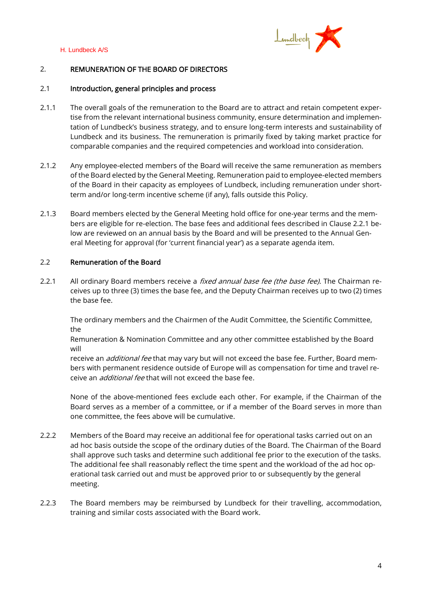

# 2. REMUNERATION OF THE BOARD OF DIRECTORS

## 2.1 Introduction, general principles and process

- 2.1.1 The overall goals of the remuneration to the Board are to attract and retain competent expertise from the relevant international business community, ensure determination and implementation of Lundbeck's business strategy, and to ensure long-term interests and sustainability of Lundbeck and its business. The remuneration is primarily fixed by taking market practice for comparable companies and the required competencies and workload into consideration.
- 2.1.2 Any employee-elected members of the Board will receive the same remuneration as members of the Board elected by the General Meeting. Remuneration paid to employee-elected members of the Board in their capacity as employees of Lundbeck, including remuneration under shortterm and/or long-term incentive scheme (if any), falls outside this Policy.
- 2.1.3 Board members elected by the General Meeting hold office for one-year terms and the members are eligible for re-election. The base fees and additional fees described in Clause [2.2.1](#page-3-0) below are reviewed on an annual basis by the Board and will be presented to the Annual General Meeting for approval (for 'current financial year') as a separate agenda item.

# 2.2 Remuneration of the Board

<span id="page-3-0"></span>2.2.1 All ordinary Board members receive a *fixed annual base fee (the base fee)*. The Chairman receives up to three (3) times the base fee, and the Deputy Chairman receives up to two (2) times the base fee.

The ordinary members and the Chairmen of the Audit Committee, the Scientific Committee, the

Remuneration & Nomination Committee and any other committee established by the Board will

receive an *additional fee* that may vary but will not exceed the base fee. Further, Board members with permanent residence outside of Europe will as compensation for time and travel receive an additional fee that will not exceed the base fee.

None of the above-mentioned fees exclude each other. For example, if the Chairman of the Board serves as a member of a committee, or if a member of the Board serves in more than one committee, the fees above will be cumulative.

- 2.2.2 Members of the Board may receive an additional fee for operational tasks carried out on an ad hoc basis outside the scope of the ordinary duties of the Board. The Chairman of the Board shall approve such tasks and determine such additional fee prior to the execution of the tasks. The additional fee shall reasonably reflect the time spent and the workload of the ad hoc operational task carried out and must be approved prior to or subsequently by the general meeting.
- 2.2.3 The Board members may be reimbursed by Lundbeck for their travelling, accommodation, training and similar costs associated with the Board work.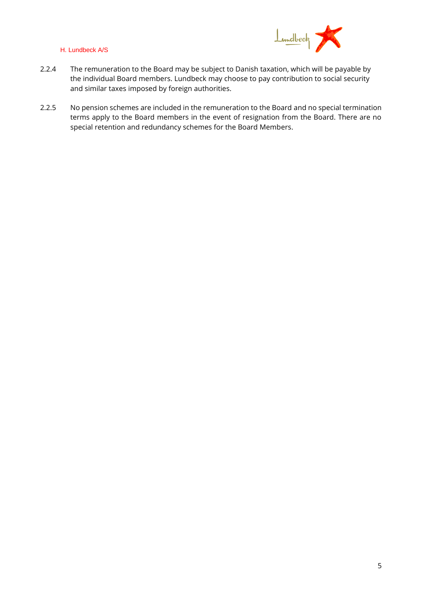

- 2.2.4 The remuneration to the Board may be subject to Danish taxation, which will be payable by the individual Board members. Lundbeck may choose to pay contribution to social security and similar taxes imposed by foreign authorities.
- 2.2.5 No pension schemes are included in the remuneration to the Board and no special termination terms apply to the Board members in the event of resignation from the Board. There are no special retention and redundancy schemes for the Board Members.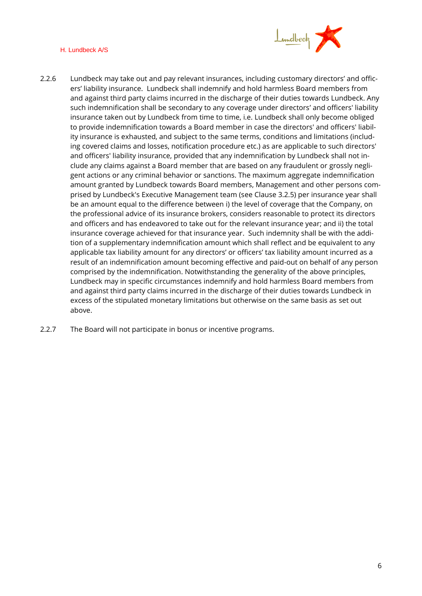

- <span id="page-5-0"></span>2.2.6 Lundbeck may take out and pay relevant insurances, including customary directors' and officers' liability insurance. Lundbeck shall indemnify and hold harmless Board members from and against third party claims incurred in the discharge of their duties towards Lundbeck. Any such indemnification shall be secondary to any coverage under directors' and officers' liability insurance taken out by Lundbeck from time to time, i.e. Lundbeck shall only become obliged to provide indemnification towards a Board member in case the directors' and officers' liability insurance is exhausted, and subject to the same terms, conditions and limitations (including covered claims and losses, notification procedure etc.) as are applicable to such directors' and officers' liability insurance, provided that any indemnification by Lundbeck shall not include any claims against a Board member that are based on any fraudulent or grossly negligent actions or any criminal behavior or sanctions. The maximum aggregate indemnification amount granted by Lundbeck towards Board members, Management and other persons comprised by Lundbeck's Executive Management team (see Clause [3.2.5\)](#page-8-0) per insurance year shall be an amount equal to the difference between i) the level of coverage that the Company, on the professional advice of its insurance brokers, considers reasonable to protect its directors and officers and has endeavored to take out for the relevant insurance year; and ii) the total insurance coverage achieved for that insurance year. Such indemnity shall be with the addition of a supplementary indemnification amount which shall reflect and be equivalent to any applicable tax liability amount for any directors' or officers' tax liability amount incurred as a result of an indemnification amount becoming effective and paid-out on behalf of any person comprised by the indemnification. Notwithstanding the generality of the above principles, Lundbeck may in specific circumstances indemnify and hold harmless Board members from and against third party claims incurred in the discharge of their duties towards Lundbeck in excess of the stipulated monetary limitations but otherwise on the same basis as set out above.
- 2.2.7 The Board will not participate in bonus or incentive programs.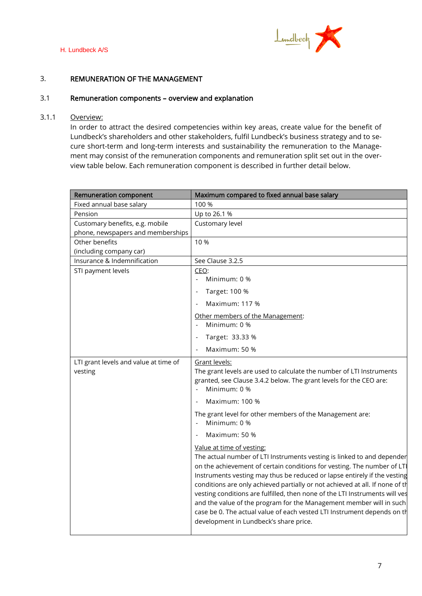

## 3. REMUNERATION OF THE MANAGEMENT

## 3.1 Remuneration components – overview and explanation

#### 3.1.1 Overview:

In order to attract the desired competencies within key areas, create value for the benefit of Lundbeck's shareholders and other stakeholders, fulfil Lundbeck's business strategy and to secure short-term and long-term interests and sustainability the remuneration to the Management may consist of the remuneration components and remuneration split set out in the overview table below. Each remuneration component is described in further detail below.

| <b>Remuneration component</b>                    | Maximum compared to fixed annual base salary                                                                                                                                                                                                                                                                                                                                                                                                                                                                                                                                                                          |
|--------------------------------------------------|-----------------------------------------------------------------------------------------------------------------------------------------------------------------------------------------------------------------------------------------------------------------------------------------------------------------------------------------------------------------------------------------------------------------------------------------------------------------------------------------------------------------------------------------------------------------------------------------------------------------------|
| Fixed annual base salary                         | 100 %                                                                                                                                                                                                                                                                                                                                                                                                                                                                                                                                                                                                                 |
| Pension                                          | Up to 26.1 %                                                                                                                                                                                                                                                                                                                                                                                                                                                                                                                                                                                                          |
| Customary benefits, e.g. mobile                  | Customary level                                                                                                                                                                                                                                                                                                                                                                                                                                                                                                                                                                                                       |
| phone, newspapers and memberships                |                                                                                                                                                                                                                                                                                                                                                                                                                                                                                                                                                                                                                       |
| Other benefits                                   | 10 %                                                                                                                                                                                                                                                                                                                                                                                                                                                                                                                                                                                                                  |
| (including company car)                          |                                                                                                                                                                                                                                                                                                                                                                                                                                                                                                                                                                                                                       |
| Insurance & Indemnification                      | See Clause 3.2.5                                                                                                                                                                                                                                                                                                                                                                                                                                                                                                                                                                                                      |
| STI payment levels                               | CEO:<br>Minimum: 0 %<br>$\blacksquare$                                                                                                                                                                                                                                                                                                                                                                                                                                                                                                                                                                                |
|                                                  | Target: 100 %<br>$\overline{a}$                                                                                                                                                                                                                                                                                                                                                                                                                                                                                                                                                                                       |
|                                                  | Maximum: 117 %                                                                                                                                                                                                                                                                                                                                                                                                                                                                                                                                                                                                        |
|                                                  | Other members of the Management:<br>Minimum: 0 %<br>$\overline{\phantom{a}}$                                                                                                                                                                                                                                                                                                                                                                                                                                                                                                                                          |
|                                                  | Target: 33.33 %<br>$\overline{\phantom{m}}$                                                                                                                                                                                                                                                                                                                                                                                                                                                                                                                                                                           |
|                                                  | Maximum: 50 %                                                                                                                                                                                                                                                                                                                                                                                                                                                                                                                                                                                                         |
| LTI grant levels and value at time of<br>vesting | Grant levels:<br>The grant levels are used to calculate the number of LTI Instruments<br>granted, see Clause 3.4.2 below. The grant levels for the CEO are:<br>Minimum: 0 %                                                                                                                                                                                                                                                                                                                                                                                                                                           |
|                                                  | Maximum: 100 %                                                                                                                                                                                                                                                                                                                                                                                                                                                                                                                                                                                                        |
|                                                  | The grant level for other members of the Management are:<br>Minimum: 0 %                                                                                                                                                                                                                                                                                                                                                                                                                                                                                                                                              |
|                                                  | Maximum: 50 %                                                                                                                                                                                                                                                                                                                                                                                                                                                                                                                                                                                                         |
|                                                  | Value at time of vesting:<br>The actual number of LTI Instruments vesting is linked to and depender<br>on the achievement of certain conditions for vesting. The number of LTI<br>Instruments vesting may thus be reduced or lapse entirely if the vesting<br>conditions are only achieved partially or not achieved at all. If none of th<br>vesting conditions are fulfilled, then none of the LTI Instruments will ves<br>and the value of the program for the Management member will in such<br>case be 0. The actual value of each vested LTI Instrument depends on th<br>development in Lundbeck's share price. |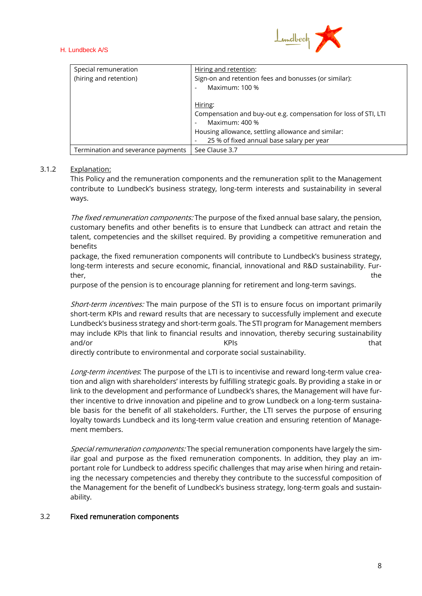

| Special remuneration<br>(hiring and retention) | Hiring and retention:<br>Sign-on and retention fees and bonusses (or similar):<br>Maximum: 100 %<br>$\overline{\phantom{0}}$                                                                    |
|------------------------------------------------|-------------------------------------------------------------------------------------------------------------------------------------------------------------------------------------------------|
|                                                | Hiring:<br>Compensation and buy-out e.g. compensation for loss of STI, LTI<br>Maximum: 400 %<br>Housing allowance, settling allowance and similar:<br>25 % of fixed annual base salary per year |
| Termination and severance payments             | See Clause 3.7                                                                                                                                                                                  |

### 3.1.2 Explanation:

This Policy and the remuneration components and the remuneration split to the Management contribute to Lundbeck's business strategy, long-term interests and sustainability in several ways.

The fixed remuneration components: The purpose of the fixed annual base salary, the pension, customary benefits and other benefits is to ensure that Lundbeck can attract and retain the talent, competencies and the skillset required. By providing a competitive remuneration and benefits

package, the fixed remuneration components will contribute to Lundbeck's business strategy, long-term interests and secure economic, financial, innovational and R&D sustainability. Further, the contract of the contract of the contract of the contract of the contract of the contract of the contract of the contract of the contract of the contract of the contract of the contract of the contract of the cont

purpose of the pension is to encourage planning for retirement and long-term savings.

Short-term incentives: The main purpose of the STI is to ensure focus on important primarily short-term KPIs and reward results that are necessary to successfully implement and execute Lundbeck's business strategy and short-term goals. The STI program for Management members may include KPIs that link to financial results and innovation, thereby securing sustainability and/or that the control of the control of the control of the control of the control of the control of the control of the control of the control of the control of the control of the control of the control of the control of

directly contribute to environmental and corporate social sustainability.

Long-term incentives. The purpose of the LTI is to incentivise and reward long-term value creation and align with shareholders' interests by fulfilling strategic goals. By providing a stake in or link to the development and performance of Lundbeck's shares, the Management will have further incentive to drive innovation and pipeline and to grow Lundbeck on a long-term sustainable basis for the benefit of all stakeholders. Further, the LTI serves the purpose of ensuring loyalty towards Lundbeck and its long-term value creation and ensuring retention of Management members.

Special remuneration components: The special remuneration components have largely the similar goal and purpose as the fixed remuneration components. In addition, they play an important role for Lundbeck to address specific challenges that may arise when hiring and retaining the necessary competencies and thereby they contribute to the successful composition of the Management for the benefit of Lundbeck's business strategy, long-term goals and sustainability.

#### 3.2 Fixed remuneration components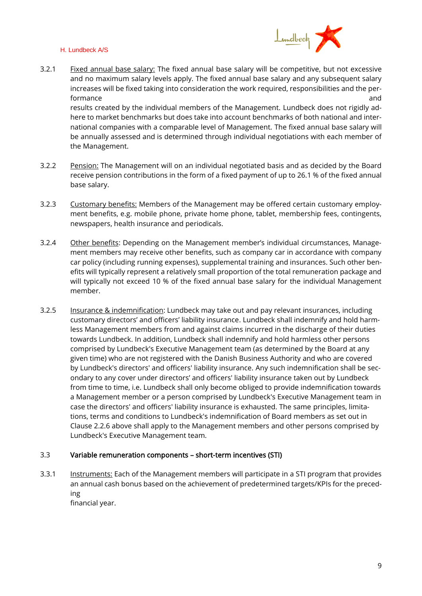

3.2.1 Fixed annual base salary: The fixed annual base salary will be competitive, but not excessive and no maximum salary levels apply. The fixed annual base salary and any subsequent salary increases will be fixed taking into consideration the work required, responsibilities and the performance and results created by the individual members of the Management. Lundbeck does not rigidly ad-

here to market benchmarks but does take into account benchmarks of both national and international companies with a comparable level of Management. The fixed annual base salary will be annually assessed and is determined through individual negotiations with each member of the Management.

- 3.2.2 Pension: The Management will on an individual negotiated basis and as decided by the Board receive pension contributions in the form of a fixed payment of up to 26.1 % of the fixed annual base salary.
- 3.2.3 Customary benefits: Members of the Management may be offered certain customary employment benefits, e.g. mobile phone, private home phone, tablet, membership fees, contingents, newspapers, health insurance and periodicals.
- 3.2.4 Other benefits: Depending on the Management member's individual circumstances, Management members may receive other benefits, such as company car in accordance with company car policy (including running expenses), supplemental training and insurances. Such other benefits will typically represent a relatively small proportion of the total remuneration package and will typically not exceed 10 % of the fixed annual base salary for the individual Management member.
- <span id="page-8-0"></span>3.2.5 Insurance & indemnification: Lundbeck may take out and pay relevant insurances, including customary directors' and officers' liability insurance. Lundbeck shall indemnify and hold harmless Management members from and against claims incurred in the discharge of their duties towards Lundbeck. In addition, Lundbeck shall indemnify and hold harmless other persons comprised by Lundbeck's Executive Management team (as determined by the Board at any given time) who are not registered with the Danish Business Authority and who are covered by Lundbeck's directors' and officers' liability insurance. Any such indemnification shall be secondary to any cover under directors' and officers' liability insurance taken out by Lundbeck from time to time, i.e. Lundbeck shall only become obliged to provide indemnification towards a Management member or a person comprised by Lundbeck's Executive Management team in case the directors' and officers' liability insurance is exhausted. The same principles, limitations, terms and conditions to Lundbeck's indemnification of Board members as set out in Clause [2.2.6](#page-5-0) above shall apply to the Management members and other persons comprised by Lundbeck's Executive Management team.

# 3.3 Variable remuneration components – short-term incentives (STI)

3.3.1 Instruments: Each of the Management members will participate in a STI program that provides an annual cash bonus based on the achievement of predetermined targets/KPIs for the preceding

financial year.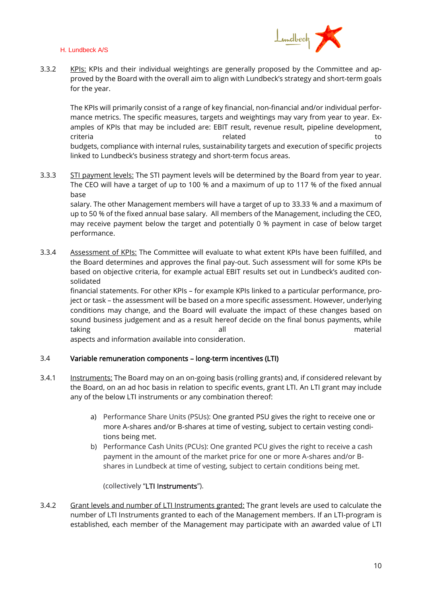

3.3.2 KPIs: KPIs and their individual weightings are generally proposed by the Committee and approved by the Board with the overall aim to align with Lundbeck's strategy and short-term goals for the year.

The KPIs will primarily consist of a range of key financial, non-financial and/or individual performance metrics. The specific measures, targets and weightings may vary from year to year. Examples of KPIs that may be included are: EBIT result, revenue result, pipeline development, criteria to the control of the control of the control of the control of the control of the control of the control of the control of the control of the control of the control of the control of the control of the control of budgets, compliance with internal rules, sustainability targets and execution of specific projects linked to Lundbeck's business strategy and short-term focus areas.

3.3.3 STI payment levels: The STI payment levels will be determined by the Board from year to year. The CEO will have a target of up to 100 % and a maximum of up to 117 % of the fixed annual base

salary. The other Management members will have a target of up to 33.33 % and a maximum of up to 50 % of the fixed annual base salary. All members of the Management, including the CEO, may receive payment below the target and potentially 0 % payment in case of below target performance.

<span id="page-9-2"></span>3.3.4 Assessment of KPIs: The Committee will evaluate to what extent KPIs have been fulfilled, and the Board determines and approves the final pay-out. Such assessment will for some KPIs be based on objective criteria, for example actual EBIT results set out in Lundbeck's audited consolidated

financial statements. For other KPIs – for example KPIs linked to a particular performance, project or task – the assessment will be based on a more specific assessment. However, underlying conditions may change, and the Board will evaluate the impact of these changes based on sound business judgement and as a result hereof decide on the final bonus payments, while taking all material taking all material taking all material taking all material taking  $\sim$ aspects and information available into consideration.

# 3.4 Variable remuneration components – long-term incentives (LTI)

- <span id="page-9-0"></span>3.4.1 Instruments: The Board may on an on-going basis (rolling grants) and, if considered relevant by the Board, on an ad hoc basis in relation to specific events, grant LTI. An LTI grant may include any of the below LTI instruments or any combination thereof:
	- a) Performance Share Units (PSUs): One granted PSU gives the right to receive one or more A-shares and/or B-shares at time of vesting, subject to certain vesting conditions being met.
	- b) Performance Cash Units (PCUs): One granted PCU gives the right to receive a cash payment in the amount of the market price for one or more A-shares and/or Bshares in Lundbeck at time of vesting, subject to certain conditions being met.

#### (collectively "LTI Instruments").

<span id="page-9-1"></span>3.4.2 Grant levels and number of LTI Instruments granted: The grant levels are used to calculate the number of LTI Instruments granted to each of the Management members. If an LTI-program is established, each member of the Management may participate with an awarded value of LTI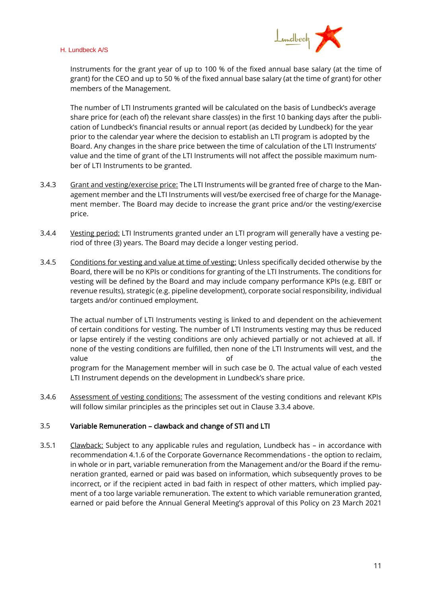

Instruments for the grant year of up to 100 % of the fixed annual base salary (at the time of grant) for the CEO and up to 50 % of the fixed annual base salary (at the time of grant) for other members of the Management.

The number of LTI Instruments granted will be calculated on the basis of Lundbeck's average share price for (each of) the relevant share class(es) in the first 10 banking days after the publication of Lundbeck's financial results or annual report (as decided by Lundbeck) for the year prior to the calendar year where the decision to establish an LTI program is adopted by the Board. Any changes in the share price between the time of calculation of the LTI Instruments' value and the time of grant of the LTI Instruments will not affect the possible maximum number of LTI Instruments to be granted.

- 3.4.3 Grant and vesting/exercise price: The LTI Instruments will be granted free of charge to the Management member and the LTI Instruments will vest/be exercised free of charge for the Management member. The Board may decide to increase the grant price and/or the vesting/exercise price.
- 3.4.4 Vesting period: LTI Instruments granted under an LTI program will generally have a vesting period of three (3) years. The Board may decide a longer vesting period.
- <span id="page-10-1"></span>3.4.5 Conditions for vesting and value at time of vesting: Unless specifically decided otherwise by the Board, there will be no KPIs or conditions for granting of the LTI Instruments. The conditions for vesting will be defined by the Board and may include company performance KPIs (e.g. EBIT or revenue results), strategic (e.g. pipeline development), corporate social responsibility, individual targets and/or continued employment.

The actual number of LTI Instruments vesting is linked to and dependent on the achievement of certain conditions for vesting. The number of LTI Instruments vesting may thus be reduced or lapse entirely if the vesting conditions are only achieved partially or not achieved at all. If none of the vesting conditions are fulfilled, then none of the LTI Instruments will vest, and the value  $\qquad \qquad \text{of} \qquad \qquad \text{the}$ program for the Management member will in such case be 0. The actual value of each vested LTI Instrument depends on the development in Lundbeck's share price.

3.4.6 Assessment of vesting conditions: The assessment of the vesting conditions and relevant KPIs will follow similar principles as the principles set out in Clause [3.3.4](#page-9-2) above.

#### 3.5 Variable Remuneration – clawback and change of STI and LTI

<span id="page-10-0"></span>3.5.1 Clawback: Subject to any applicable rules and regulation, Lundbeck has - in accordance with recommendation 4.1.6 of the Corporate Governance Recommendations - the option to reclaim, in whole or in part, variable remuneration from the Management and/or the Board if the remuneration granted, earned or paid was based on information, which subsequently proves to be incorrect, or if the recipient acted in bad faith in respect of other matters, which implied payment of a too large variable remuneration. The extent to which variable remuneration granted, earned or paid before the Annual General Meeting's approval of this Policy on 23 March 2021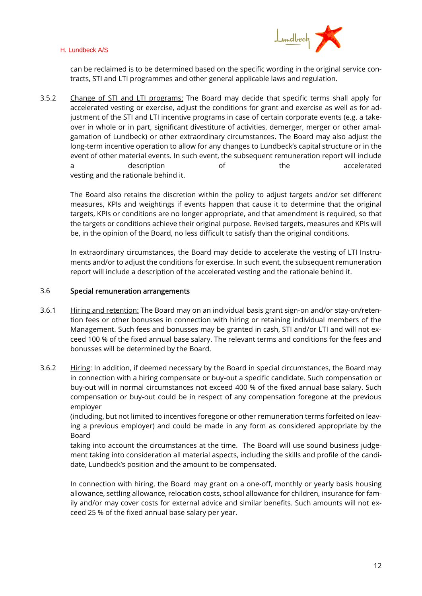

can be reclaimed is to be determined based on the specific wording in the original service contracts, STI and LTI programmes and other general applicable laws and regulation.

3.5.2 Change of STI and LTI programs: The Board may decide that specific terms shall apply for accelerated vesting or exercise, adjust the conditions for grant and exercise as well as for adjustment of the STI and LTI incentive programs in case of certain corporate events (e.g. a takeover in whole or in part, significant divestiture of activities, demerger, merger or other amalgamation of Lundbeck) or other extraordinary circumstances. The Board may also adjust the long-term incentive operation to allow for any changes to Lundbeck's capital structure or in the event of other material events. In such event, the subsequent remuneration report will include a description of the accelerated vesting and the rationale behind it.

The Board also retains the discretion within the policy to adjust targets and/or set different measures, KPIs and weightings if events happen that cause it to determine that the original targets, KPIs or conditions are no longer appropriate, and that amendment is required, so that the targets or conditions achieve their original purpose. Revised targets, measures and KPIs will be, in the opinion of the Board, no less difficult to satisfy than the original conditions.

In extraordinary circumstances, the Board may decide to accelerate the vesting of LTI Instruments and/or to adjust the conditions for exercise. In such event, the subsequent remuneration report will include a description of the accelerated vesting and the rationale behind it.

# 3.6 Special remuneration arrangements

- 3.6.1 Hiring and retention: The Board may on an individual basis grant sign-on and/or stay-on/retention fees or other bonusses in connection with hiring or retaining individual members of the Management. Such fees and bonusses may be granted in cash, STI and/or LTI and will not exceed 100 % of the fixed annual base salary. The relevant terms and conditions for the fees and bonusses will be determined by the Board.
- 3.6.2 Hiring: In addition, if deemed necessary by the Board in special circumstances, the Board may in connection with a hiring compensate or buy-out a specific candidate. Such compensation or buy-out will in normal circumstances not exceed 400 % of the fixed annual base salary. Such compensation or buy-out could be in respect of any compensation foregone at the previous employer

(including, but not limited to incentives foregone or other remuneration terms forfeited on leaving a previous employer) and could be made in any form as considered appropriate by the Board

taking into account the circumstances at the time. The Board will use sound business judgement taking into consideration all material aspects, including the skills and profile of the candidate, Lundbeck's position and the amount to be compensated.

In connection with hiring, the Board may grant on a one-off, monthly or yearly basis housing allowance, settling allowance, relocation costs, school allowance for children, insurance for family and/or may cover costs for external advice and similar benefits. Such amounts will not exceed 25 % of the fixed annual base salary per year.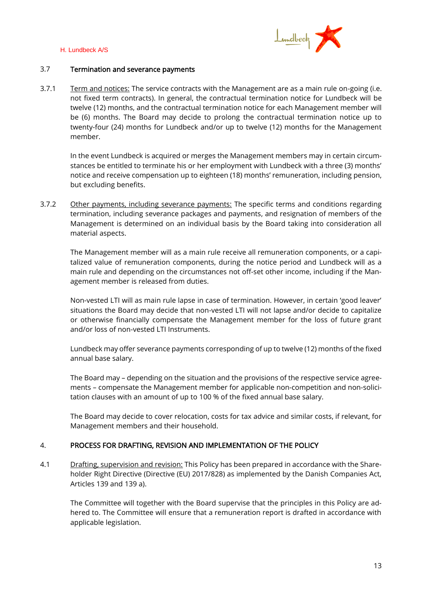

## <span id="page-12-0"></span>3.7 Termination and severance payments

3.7.1 Term and notices: The service contracts with the Management are as a main rule on-going (i.e. not fixed term contracts). In general, the contractual termination notice for Lundbeck will be twelve (12) months, and the contractual termination notice for each Management member will be (6) months. The Board may decide to prolong the contractual termination notice up to twenty-four (24) months for Lundbeck and/or up to twelve (12) months for the Management member.

In the event Lundbeck is acquired or merges the Management members may in certain circumstances be entitled to terminate his or her employment with Lundbeck with a three (3) months' notice and receive compensation up to eighteen (18) months' remuneration, including pension, but excluding benefits.

3.7.2 Other payments, including severance payments: The specific terms and conditions regarding termination, including severance packages and payments, and resignation of members of the Management is determined on an individual basis by the Board taking into consideration all material aspects.

The Management member will as a main rule receive all remuneration components, or a capitalized value of remuneration components, during the notice period and Lundbeck will as a main rule and depending on the circumstances not off-set other income, including if the Management member is released from duties.

Non-vested LTI will as main rule lapse in case of termination. However, in certain 'good leaver' situations the Board may decide that non-vested LTI will not lapse and/or decide to capitalize or otherwise financially compensate the Management member for the loss of future grant and/or loss of non-vested LTI Instruments.

Lundbeck may offer severance payments corresponding of up to twelve (12) months of the fixed annual base salary.

The Board may – depending on the situation and the provisions of the respective service agreements – compensate the Management member for applicable non-competition and non-solicitation clauses with an amount of up to 100 % of the fixed annual base salary.

The Board may decide to cover relocation, costs for tax advice and similar costs, if relevant, for Management members and their household.

# 4. PROCESS FOR DRAFTING, REVISION AND IMPLEMENTATION OF THE POLICY

4.1 Drafting, supervision and revision: This Policy has been prepared in accordance with the Shareholder Right Directive (Directive (EU) 2017/828) as implemented by the Danish Companies Act, Articles 139 and 139 a).

The Committee will together with the Board supervise that the principles in this Policy are adhered to. The Committee will ensure that a remuneration report is drafted in accordance with applicable legislation.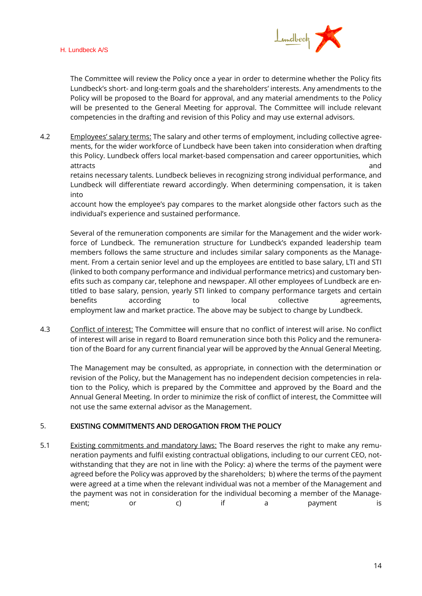

The Committee will review the Policy once a year in order to determine whether the Policy fits Lundbeck's short- and long-term goals and the shareholders' interests. Any amendments to the Policy will be proposed to the Board for approval, and any material amendments to the Policy will be presented to the General Meeting for approval. The Committee will include relevant competencies in the drafting and revision of this Policy and may use external advisors.

4.2 Employees' salary terms: The salary and other terms of employment, including collective agreements, for the wider workforce of Lundbeck have been taken into consideration when drafting this Policy. Lundbeck offers local market-based compensation and career opportunities, which attracts and

retains necessary talents. Lundbeck believes in recognizing strong individual performance, and Lundbeck will differentiate reward accordingly. When determining compensation, it is taken into

account how the employee's pay compares to the market alongside other factors such as the individual's experience and sustained performance.

Several of the remuneration components are similar for the Management and the wider workforce of Lundbeck. The remuneration structure for Lundbeck's expanded leadership team members follows the same structure and includes similar salary components as the Management. From a certain senior level and up the employees are entitled to base salary, LTI and STI (linked to both company performance and individual performance metrics) and customary benefits such as company car, telephone and newspaper. All other employees of Lundbeck are entitled to base salary, pension, yearly STI linked to company performance targets and certain benefits according to local collective agreements, employment law and market practice. The above may be subject to change by Lundbeck.

4.3 Conflict of interest: The Committee will ensure that no conflict of interest will arise. No conflict of interest will arise in regard to Board remuneration since both this Policy and the remuneration of the Board for any current financial year will be approved by the Annual General Meeting.

The Management may be consulted, as appropriate, in connection with the determination or revision of the Policy, but the Management has no independent decision competencies in relation to the Policy, which is prepared by the Committee and approved by the Board and the Annual General Meeting. In order to minimize the risk of conflict of interest, the Committee will not use the same external advisor as the Management.

# 5. EXISTING COMMITMENTS AND DEROGATION FROM THE POLICY

5.1 Existing commitments and mandatory laws: The Board reserves the right to make any remuneration payments and fulfil existing contractual obligations, including to our current CEO, notwithstanding that they are not in line with the Policy: a) where the terms of the payment were agreed before the Policy was approved by the shareholders; b) where the terms of the payment were agreed at a time when the relevant individual was not a member of the Management and the payment was not in consideration for the individual becoming a member of the Management; or c) if a payment is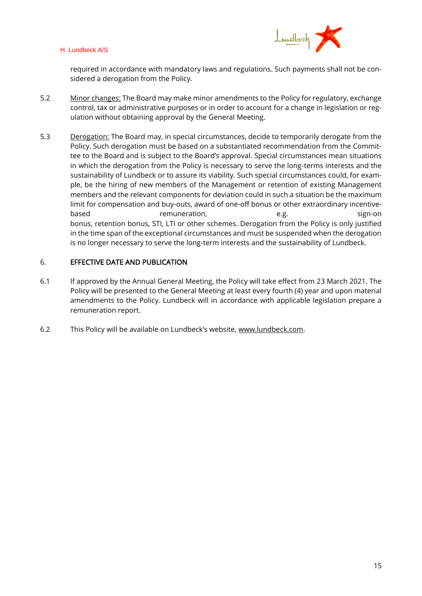

required in accordance with mandatory laws and regulations. Such payments shall not be considered a derogation from the Policy.

- 5.2 Minor changes: The Board may make minor amendments to the Policy for regulatory, exchange control, tax or administrative purposes or in order to account for a change in legislation or regulation without obtaining approval by the General Meeting.
- 5.3 Derogation: The Board may, in special circumstances, decide to temporarily derogate from the Policy. Such derogation must be based on a substantiated recommendation from the Committee to the Board and is subject to the Board's approval. Special circumstances mean situations in which the derogation from the Policy is necessary to serve the long-terms interests and the sustainability of Lundbeck or to assure its viability. Such special circumstances could, for example, be the hiring of new members of the Management or retention of existing Management members and the relevant components for deviation could in such a situation be the maximum limit for compensation and buy-outs, award of one-off bonus or other extraordinary incentivebased **remuneration**, **e.g.** e.g. sign-on bonus, retention bonus, STI, LTI or other schemes. Derogation from the Policy is only justified in the time span of the exceptional circumstances and must be suspended when the derogation is no longer necessary to serve the long-term interests and the sustainability of Lundbeck.

# 6. EFFECTIVE DATE AND PUBLICATION

- 6.1 If approved by the Annual General Meeting, the Policy will take effect from 23 March 2021. The Policy will be presented to the General Meeting at least every fourth (4) year and upon material amendments to the Policy. Lundbeck will in accordance with applicable legislation prepare a remuneration report.
- 6.2 This Policy will be available on Lundbeck's website, [www.lundbeck.com.](http://www.lundbeck.com/)